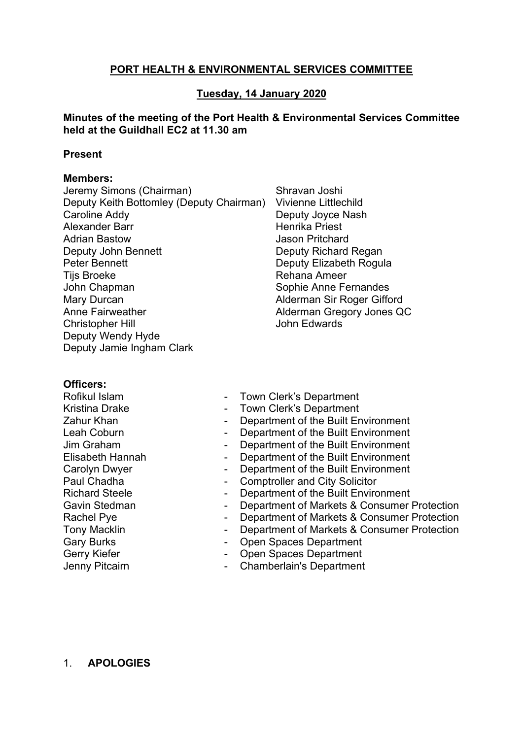# **PORT HEALTH & ENVIRONMENTAL SERVICES COMMITTEE**

# **Tuesday, 14 January 2020**

## **Minutes of the meeting of the Port Health & Environmental Services Committee held at the Guildhall EC2 at 11.30 am**

### **Present**

### **Members:**

Jeremy Simons (Chairman) Deputy Keith Bottomley (Deputy Chairman) Vivienne Littlechild Caroline Addy Alexander Barr Adrian Bastow Deputy John Bennett Peter Bennett Tijs Broeke John Chapman Mary Durcan Anne Fairweather Christopher Hill Deputy Wendy Hyde Deputy Jamie Ingham Clark

Shravan Joshi Deputy Joyce Nash Henrika Priest Jason Pritchard Deputy Richard Regan Deputy Elizabeth Rogula Rehana Ameer Sophie Anne Fernandes Alderman Sir Roger Gifford Alderman Gregory Jones QC John Edwards

## **Officers:**

Rofikul Islam Kristina Drake Zahur Khan Leah Coburn Jim Graham Elisabeth Hannah Carolyn Dwyer Paul Chadha Richard Steele Gavin Stedman Rachel Pye Tony Macklin Gary Burks Gerry Kiefer Jenny Pitcairn

- Town Clerk's Department
- Town Clerk's Department
- Department of the Built Environment
- Department of the Built Environment
- Department of the Built Environment
- Department of the Built Environment
- Department of the Built Environment
- Comptroller and City Solicitor
- Department of the Built Environment
- Department of Markets & Consumer Protection
- Department of Markets & Consumer Protection
- Department of Markets & Consumer Protection
- Open Spaces Department
- Open Spaces Department
- Chamberlain's Department

## 1. **APOLOGIES**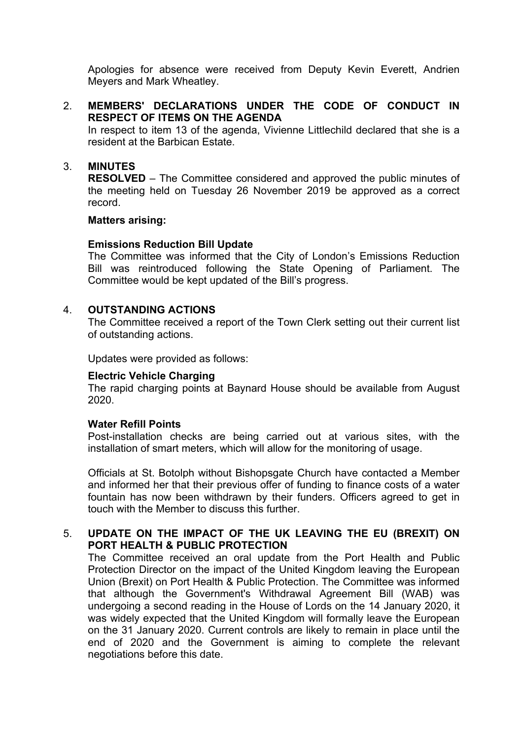Apologies for absence were received from Deputy Kevin Everett, Andrien Meyers and Mark Wheatley.

# 2. **MEMBERS' DECLARATIONS UNDER THE CODE OF CONDUCT IN RESPECT OF ITEMS ON THE AGENDA**

In respect to item 13 of the agenda, Vivienne Littlechild declared that she is a resident at the Barbican Estate.

## 3. **MINUTES**

**RESOLVED** – The Committee considered and approved the public minutes of the meeting held on Tuesday 26 November 2019 be approved as a correct record.

### **Matters arising:**

## **Emissions Reduction Bill Update**

The Committee was informed that the City of London's Emissions Reduction Bill was reintroduced following the State Opening of Parliament. The Committee would be kept updated of the Bill's progress.

### 4. **OUTSTANDING ACTIONS**

The Committee received a report of the Town Clerk setting out their current list of outstanding actions.

Updates were provided as follows:

## **Electric Vehicle Charging**

The rapid charging points at Baynard House should be available from August 2020.

### **Water Refill Points**

Post-installation checks are being carried out at various sites, with the installation of smart meters, which will allow for the monitoring of usage.

Officials at St. Botolph without Bishopsgate Church have contacted a Member and informed her that their previous offer of funding to finance costs of a water fountain has now been withdrawn by their funders. Officers agreed to get in touch with the Member to discuss this further.

# 5. **UPDATE ON THE IMPACT OF THE UK LEAVING THE EU (BREXIT) ON PORT HEALTH & PUBLIC PROTECTION**

The Committee received an oral update from the Port Health and Public Protection Director on the impact of the United Kingdom leaving the European Union (Brexit) on Port Health & Public Protection. The Committee was informed that although the Government's [Withdrawal](https://publications.parliament.uk/pa/bills/cbill/58-01/0001/20001.pdf) Agreement Bill (WAB) was undergoing a second reading in the House of Lords on the 14 January 2020, it was widely expected that the United Kingdom will formally leave the European on the 31 January 2020. Current controls are likely to remain in place until the end of 2020 and the Government is aiming to complete the relevant negotiations before this date.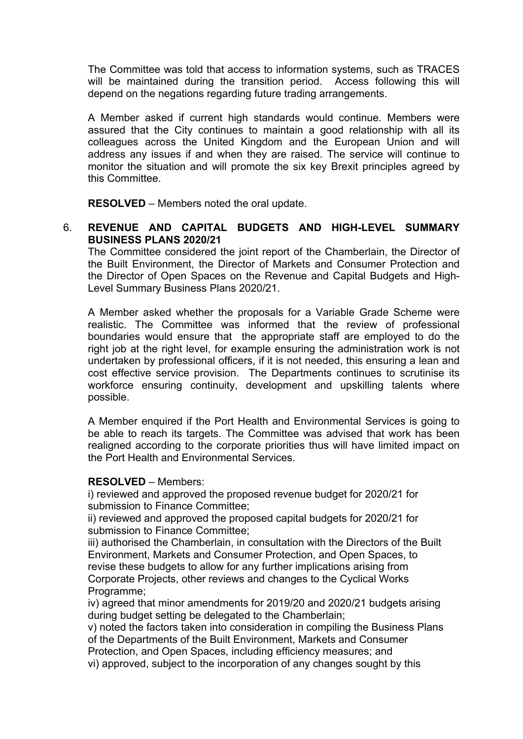The Committee was told that access to information systems, such as TRACES will be maintained during the transition period. Access following this will depend on the negations regarding future trading arrangements.

A Member asked if current high standards would continue. Members were assured that the City continues to maintain a good relationship with all its colleagues across the United Kingdom and the European Union and will address any issues if and when they are raised. The service will continue to monitor the situation and will promote the six key Brexit principles agreed by this Committee.

**RESOLVED** – Members noted the oral update.

## 6. **REVENUE AND CAPITAL BUDGETS AND HIGH-LEVEL SUMMARY BUSINESS PLANS 2020/21**

The Committee considered the joint report of the Chamberlain, the Director of the Built Environment, the Director of Markets and Consumer Protection and the Director of Open Spaces on the Revenue and Capital Budgets and High-Level Summary Business Plans 2020/21.

A Member asked whether the proposals for a Variable Grade Scheme were realistic. The Committee was informed that the review of professional boundaries would ensure that the appropriate staff are employed to do the right job at the right level, for example ensuring the administration work is not undertaken by professional officers, if it is not needed, this ensuring a lean and cost effective service provision. The Departments continues to scrutinise its workforce ensuring continuity, development and upskilling talents where possible.

A Member enquired if the Port Health and Environmental Services is going to be able to reach its targets. The Committee was advised that work has been realigned according to the corporate priorities thus will have limited impact on the Port Health and Environmental Services.

#### **RESOLVED** – Members:

i) reviewed and approved the proposed revenue budget for 2020/21 for submission to Finance Committee;

ii) reviewed and approved the proposed capital budgets for 2020/21 for submission to Finance Committee;

iii) authorised the Chamberlain, in consultation with the Directors of the Built Environment, Markets and Consumer Protection, and Open Spaces, to revise these budgets to allow for any further implications arising from Corporate Projects, other reviews and changes to the Cyclical Works Programme;

iv) agreed that minor amendments for 2019/20 and 2020/21 budgets arising during budget setting be delegated to the Chamberlain;

v) noted the factors taken into consideration in compiling the Business Plans of the Departments of the Built Environment, Markets and Consumer Protection, and Open Spaces, including efficiency measures; and

vi) approved, subject to the incorporation of any changes sought by this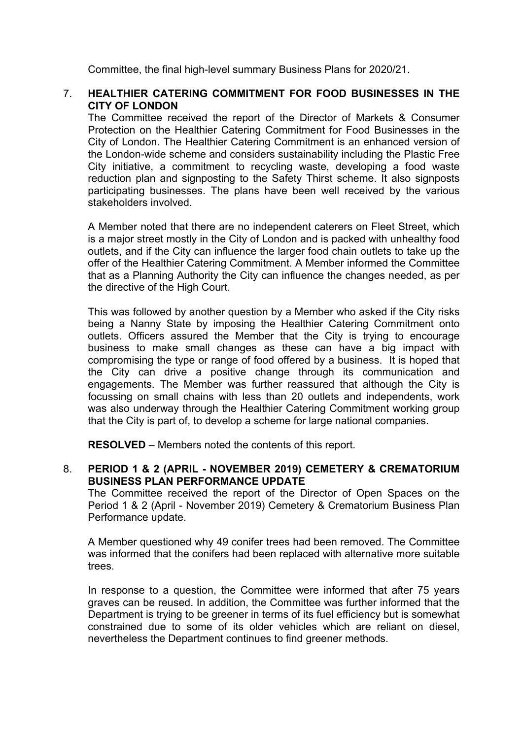Committee, the final high-level summary Business Plans for 2020/21.

## 7. **HEALTHIER CATERING COMMITMENT FOR FOOD BUSINESSES IN THE CITY OF LONDON**

The Committee received the report of the Director of Markets & Consumer Protection on the Healthier Catering Commitment for Food Businesses in the City of London. The Healthier Catering Commitment is an enhanced version of the London-wide scheme and considers sustainability including the Plastic Free City initiative, a commitment to recycling waste, developing a food waste reduction plan and signposting to the Safety Thirst scheme. It also signposts participating businesses. The plans have been well received by the various stakeholders involved.

A Member noted that there are no independent caterers on Fleet Street, which is a major street mostly in the City of London and is packed with unhealthy food outlets, and if the City can influence the larger food chain outlets to take up the offer of the Healthier Catering Commitment. A Member informed the Committee that as a Planning Authority the City can influence the changes needed, as per the directive of the High Court.

This was followed by another question by a Member who asked if the City risks being a Nanny State by imposing the Healthier Catering Commitment onto outlets. Officers assured the Member that the City is trying to encourage business to make small changes as these can have a big impact with compromising the type or range of food offered by a business. It is hoped that the City can drive a positive change through its communication and engagements. The Member was further reassured that although the City is focussing on small chains with less than 20 outlets and independents, work was also underway through the Healthier Catering Commitment working group that the City is part of, to develop a scheme for large national companies.

**RESOLVED** – Members noted the contents of this report.

## 8. **PERIOD 1 & 2 (APRIL - NOVEMBER 2019) CEMETERY & CREMATORIUM BUSINESS PLAN PERFORMANCE UPDATE**

The Committee received the report of the Director of Open Spaces on the Period 1 & 2 (April - November 2019) Cemetery & Crematorium Business Plan Performance update.

A Member questioned why 49 conifer trees had been removed. The Committee was informed that the conifers had been replaced with alternative more suitable trees.

In response to a question, the Committee were informed that after 75 years graves can be reused. In addition, the Committee was further informed that the Department is trying to be greener in terms of its fuel efficiency but is somewhat constrained due to some of its older vehicles which are reliant on diesel, nevertheless the Department continues to find greener methods.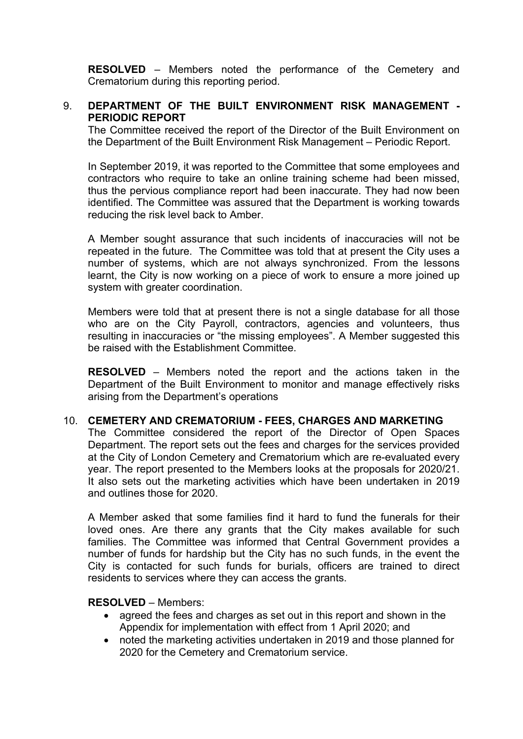**RESOLVED** – Members noted the performance of the Cemetery and Crematorium during this reporting period.

## 9. **DEPARTMENT OF THE BUILT ENVIRONMENT RISK MANAGEMENT - PERIODIC REPORT**

The Committee received the report of the Director of the Built Environment on the Department of the Built Environment Risk Management – Periodic Report.

In September 2019, it was reported to the Committee that some employees and contractors who require to take an online training scheme had been missed, thus the pervious compliance report had been inaccurate. They had now been identified. The Committee was assured that the Department is working towards reducing the risk level back to Amber.

A Member sought assurance that such incidents of inaccuracies will not be repeated in the future. The Committee was told that at present the City uses a number of systems, which are not always synchronized. From the lessons learnt, the City is now working on a piece of work to ensure a more joined up system with greater coordination.

Members were told that at present there is not a single database for all those who are on the City Payroll, contractors, agencies and volunteers, thus resulting in inaccuracies or "the missing employees". A Member suggested this be raised with the Establishment Committee.

**RESOLVED** – Members noted the report and the actions taken in the Department of the Built Environment to monitor and manage effectively risks arising from the Department's operations

## 10. **CEMETERY AND CREMATORIUM - FEES, CHARGES AND MARKETING**

The Committee considered the report of the Director of Open Spaces Department. The report sets out the fees and charges for the services provided at the City of London Cemetery and Crematorium which are re-evaluated every year. The report presented to the Members looks at the proposals for 2020/21. It also sets out the marketing activities which have been undertaken in 2019 and outlines those for 2020.

A Member asked that some families find it hard to fund the funerals for their loved ones. Are there any grants that the City makes available for such families. The Committee was informed that Central Government provides a number of funds for hardship but the City has no such funds, in the event the City is contacted for such funds for burials, officers are trained to direct residents to services where they can access the grants.

### **RESOLVED** – Members:

- agreed the fees and charges as set out in this report and shown in the Appendix for implementation with effect from 1 April 2020; and
- noted the marketing activities undertaken in 2019 and those planned for 2020 for the Cemetery and Crematorium service.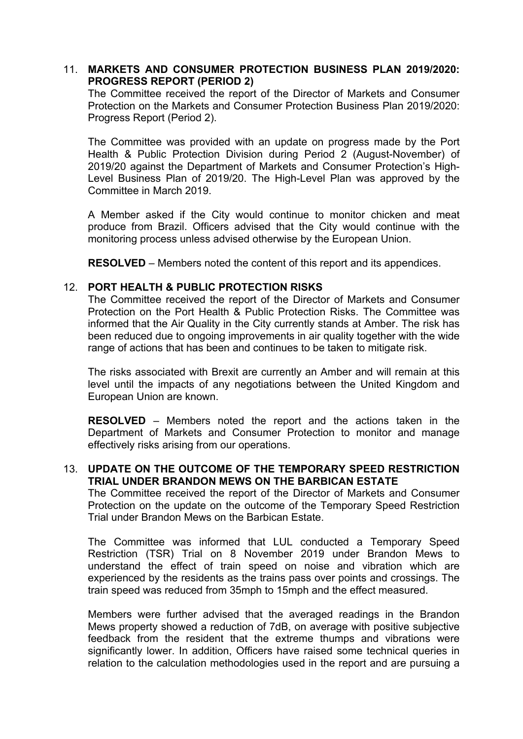## 11. **MARKETS AND CONSUMER PROTECTION BUSINESS PLAN 2019/2020: PROGRESS REPORT (PERIOD 2)**

The Committee received the report of the Director of Markets and Consumer Protection on the Markets and Consumer Protection Business Plan 2019/2020: Progress Report (Period 2).

The Committee was provided with an update on progress made by the Port Health & Public Protection Division during Period 2 (August-November) of 2019/20 against the Department of Markets and Consumer Protection's High-Level Business Plan of 2019/20. The High-Level Plan was approved by the Committee in March 2019.

A Member asked if the City would continue to monitor chicken and meat produce from Brazil. Officers advised that the City would continue with the monitoring process unless advised otherwise by the European Union.

**RESOLVED** – Members noted the content of this report and its appendices.

### 12. **PORT HEALTH & PUBLIC PROTECTION RISKS**

The Committee received the report of the Director of Markets and Consumer Protection on the Port Health & Public Protection Risks. The Committee was informed that the Air Quality in the City currently stands at Amber. The risk has been reduced due to ongoing improvements in air quality together with the wide range of actions that has been and continues to be taken to mitigate risk.

The risks associated with Brexit are currently an Amber and will remain at this level until the impacts of any negotiations between the United Kingdom and European Union are known.

**RESOLVED** – Members noted the report and the actions taken in the Department of Markets and Consumer Protection to monitor and manage effectively risks arising from our operations.

## 13. **UPDATE ON THE OUTCOME OF THE TEMPORARY SPEED RESTRICTION TRIAL UNDER BRANDON MEWS ON THE BARBICAN ESTATE**

The Committee received the report of the Director of Markets and Consumer Protection on the update on the outcome of the Temporary Speed Restriction Trial under Brandon Mews on the Barbican Estate.

The Committee was informed that LUL conducted a Temporary Speed Restriction (TSR) Trial on 8 November 2019 under Brandon Mews to understand the effect of train speed on noise and vibration which are experienced by the residents as the trains pass over points and crossings. The train speed was reduced from 35mph to 15mph and the effect measured.

Members were further advised that the averaged readings in the Brandon Mews property showed a reduction of 7dB, on average with positive subjective feedback from the resident that the extreme thumps and vibrations were significantly lower. In addition, Officers have raised some technical queries in relation to the calculation methodologies used in the report and are pursuing a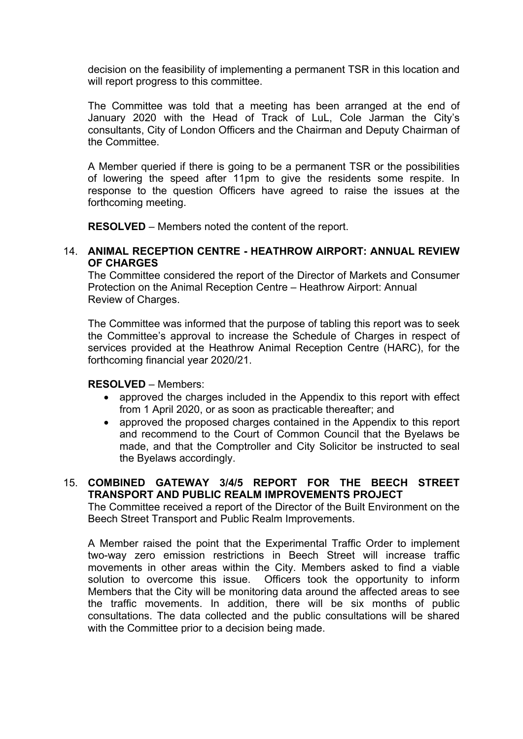decision on the feasibility of implementing a permanent TSR in this location and will report progress to this committee.

The Committee was told that a meeting has been arranged at the end of January 2020 with the Head of Track of LuL, Cole Jarman the City's consultants, City of London Officers and the Chairman and Deputy Chairman of the Committee.

A Member queried if there is going to be a permanent TSR or the possibilities of lowering the speed after 11pm to give the residents some respite. In response to the question Officers have agreed to raise the issues at the forthcoming meeting.

**RESOLVED** – Members noted the content of the report.

### 14. **ANIMAL RECEPTION CENTRE - HEATHROW AIRPORT: ANNUAL REVIEW OF CHARGES**

The Committee considered the report of the Director of Markets and Consumer Protection on the Animal Reception Centre – Heathrow Airport: Annual Review of Charges.

The Committee was informed that the purpose of tabling this report was to seek the Committee's approval to increase the Schedule of Charges in respect of services provided at the Heathrow Animal Reception Centre (HARC), for the forthcoming financial year 2020/21.

## **RESOLVED** – Members:

- approved the charges included in the Appendix to this report with effect from 1 April 2020, or as soon as practicable thereafter; and
- approved the proposed charges contained in the Appendix to this report and recommend to the Court of Common Council that the Byelaws be made, and that the Comptroller and City Solicitor be instructed to seal the Byelaws accordingly.

# 15. **COMBINED GATEWAY 3/4/5 REPORT FOR THE BEECH STREET TRANSPORT AND PUBLIC REALM IMPROVEMENTS PROJECT**

The Committee received a report of the Director of the Built Environment on the Beech Street Transport and Public Realm Improvements.

A Member raised the point that the Experimental Traffic Order to implement two-way zero emission restrictions in Beech Street will increase traffic movements in other areas within the City. Members asked to find a viable solution to overcome this issue. Officers took the opportunity to inform Members that the City will be monitoring data around the affected areas to see the traffic movements. In addition, there will be six months of public consultations. The data collected and the public consultations will be shared with the Committee prior to a decision being made.